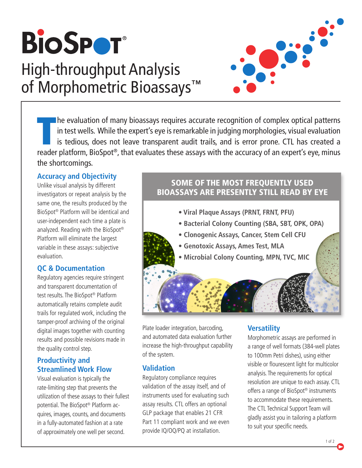

# High-throughput Analysis of Morphometric Bioassays**™**



The evaluation of many bioassays requires accurate recognition of complex optical patterns in test wells. While the expert's eye is remarkable in judging morphologies, visual evaluation is tedious, does not leave transpare he evaluation of many bioassays requires accurate recognition of complex optical patterns in test wells. While the expert's eye is remarkable in judging morphologies, visual evaluation is tedious, does not leave transparent audit trails, and is error prone. CTL has created a the shortcomings.

#### **Accuracy and Objectivity**

Unlike visual analysis by different investigators or repeat analysis by the same one, the results produced by the BioSpot® Platform will be identical and user-independent each time a plate is analyzed. Reading with the BioSpot® Platform will eliminate the largest variable in these assays: subjective evaluation.

## **QC & Documentation**

Regulatory agencies require stringent and transparent documentation of test results. The BioSpot® Platform automatically retains complete audit trails for regulated work, including the tamper-proof archiving of the original digital images together with counting results and possible revisions made in the quality control step.

## **Productivity and Streamlined Work Flow**

Visual evaluation is typically the rate-limiting step that prevents the utilization of these assays to their fullest potential. The BioSpot® Platform acquires, images, counts, and documents in a fully-automated fashion at a rate of approximately one well per second.

# SOME OF THE MOST FREQUENTLY USED BIOASSAYS ARE PRESENTLY STILL READ BY EYE

- **Viral Plaque Assays (PRNT, FRNT, PFU)**
- **Bacterial Colony Counting (SBA, SBT, OPK, OPA)**
- **Clonogenic Assays, Cancer, Stem Cell CFU**
- **Genotoxic Assays, Ames Test, MLA**
- **Microbial Colony Counting, MPN, TVC, MIC**

Plate loader integration, barcoding, and automated data evaluation further increase the high-throughput capability of the system.

## **Validation**

Regulatory compliance requires validation of the assay itself, and of instruments used for evaluating such assay results. CTL offers an optional GLP package that enables 21 CFR Part 11 compliant work and we even provide IQ/OQ/PQ at installation.

# **Versatility**

Morphometric assays are performed in a range of well formats (384-well plates to 100mm Petri dishes), using either visible or flourescent light for multicolor analysis. The requirements for optical resolution are unique to each assay. CTL offers a range of BioSpot® instruments to accommodate these requirements. The CTL Technical Support Team will gladly assist you in tailoring a platform to suit your specific needs.

1 of 2